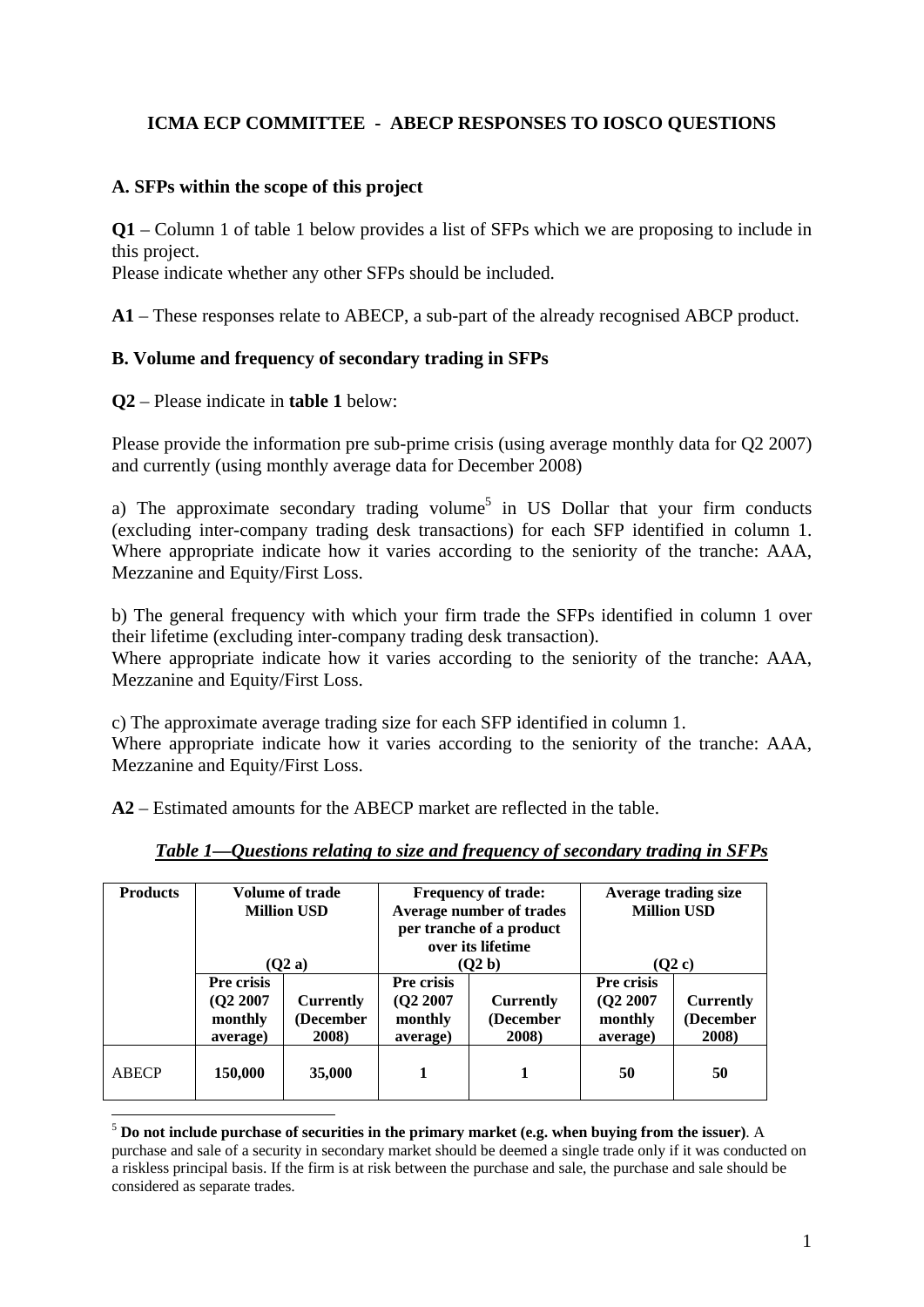# **ICMA ECP COMMITTEE - ABECP RESPONSES TO IOSCO QUESTIONS**

### **A. SFPs within the scope of this project**

**Q1** – Column 1 of table 1 below provides a list of SFPs which we are proposing to include in this project.

Please indicate whether any other SFPs should be included.

**A1** – These responses relate to ABECP, a sub-part of the already recognised ABCP product.

## **B. Volume and frequency of secondary trading in SFPs**

**Q2** – Please indicate in **table 1** below:

1

Please provide the information pre sub-prime crisis (using average monthly data for Q2 2007) and currently (using monthly average data for December 2008)

a) The approximate secondary trading volume<sup>5</sup> in US Dollar that your firm conducts (excluding inter-company trading desk transactions) for each SFP identified in column 1. Where appropriate indicate how it varies according to the seniority of the tranche: AAA, Mezzanine and Equity/First Loss.

b) The general frequency with which your firm trade the SFPs identified in column 1 over their lifetime (excluding inter-company trading desk transaction).

Where appropriate indicate how it varies according to the seniority of the tranche: AAA, Mezzanine and Equity/First Loss.

c) The approximate average trading size for each SFP identified in column 1. Where appropriate indicate how it varies according to the seniority of the tranche: AAA, Mezzanine and Equity/First Loss.

**A2** – Estimated amounts for the ABECP market are reflected in the table.

| <b>Products</b> | Volume of trade<br><b>Million USD</b>        |                                        | <b>Frequency of trade:</b><br>Average number of trades<br>per tranche of a product<br>over its lifetime |                                 | Average trading size<br><b>Million USD</b>   |                                        |
|-----------------|----------------------------------------------|----------------------------------------|---------------------------------------------------------------------------------------------------------|---------------------------------|----------------------------------------------|----------------------------------------|
|                 | (O2a)                                        |                                        |                                                                                                         | (O2 b)                          | (02c)                                        |                                        |
|                 | Pre crisis<br>(022007<br>monthly<br>average) | <b>Currently</b><br>(December<br>2008) | Pre crisis<br>(02 2007<br>monthly<br>average)                                                           | Currently<br>(December<br>2008) | Pre crisis<br>(022007<br>monthly<br>average) | <b>Currently</b><br>(December<br>2008) |
| <b>ABECP</b>    | 150,000                                      | 35,000                                 |                                                                                                         |                                 | 50                                           | 50                                     |

## *Table 1—Questions relating to size and frequency of secondary trading in SFPs*

<sup>5</sup> **Do not include purchase of securities in the primary market (e.g. when buying from the issuer)**. A purchase and sale of a security in secondary market should be deemed a single trade only if it was conducted on a riskless principal basis. If the firm is at risk between the purchase and sale, the purchase and sale should be considered as separate trades.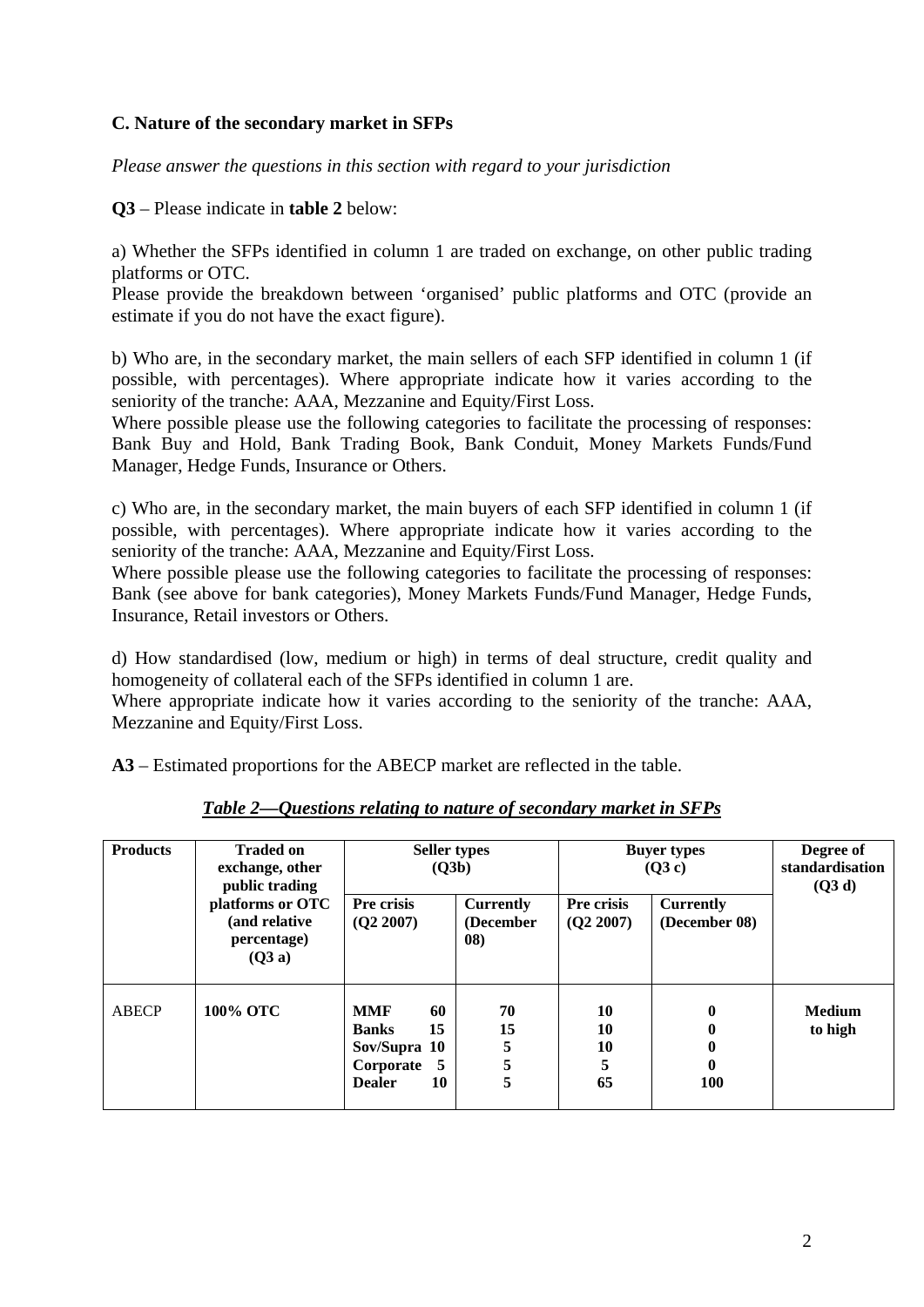## **C. Nature of the secondary market in SFPs**

*Please answer the questions in this section with regard to your jurisdiction*

**Q3** – Please indicate in **table 2** below:

a) Whether the SFPs identified in column 1 are traded on exchange, on other public trading platforms or OTC.

Please provide the breakdown between 'organised' public platforms and OTC (provide an estimate if you do not have the exact figure).

b) Who are, in the secondary market, the main sellers of each SFP identified in column 1 (if possible, with percentages). Where appropriate indicate how it varies according to the seniority of the tranche: AAA, Mezzanine and Equity/First Loss.

Where possible please use the following categories to facilitate the processing of responses: Bank Buy and Hold, Bank Trading Book, Bank Conduit, Money Markets Funds/Fund Manager, Hedge Funds, Insurance or Others.

c) Who are, in the secondary market, the main buyers of each SFP identified in column 1 (if possible, with percentages). Where appropriate indicate how it varies according to the seniority of the tranche: AAA, Mezzanine and Equity/First Loss.

Where possible please use the following categories to facilitate the processing of responses: Bank (see above for bank categories), Money Markets Funds/Fund Manager, Hedge Funds, Insurance, Retail investors or Others.

d) How standardised (low, medium or high) in terms of deal structure, credit quality and homogeneity of collateral each of the SFPs identified in column 1 are.

Where appropriate indicate how it varies according to the seniority of the tranche: AAA, Mezzanine and Equity/First Loss.

**A3** – Estimated proportions for the ABECP market are reflected in the table.

| <b>Products</b> | <b>Traded on</b><br>exchange, other<br>public trading<br>platforms or OTC<br>(and relative<br>percentage)<br>(Q3a) | <b>Seller types</b><br>(Q3b)                                                                          |                                      | <b>Buyer types</b><br>(Q3c) |                                   | Degree of<br>standardisation<br>(Q3 d) |
|-----------------|--------------------------------------------------------------------------------------------------------------------|-------------------------------------------------------------------------------------------------------|--------------------------------------|-----------------------------|-----------------------------------|----------------------------------------|
|                 |                                                                                                                    | Pre crisis<br>(Q2 2007)                                                                               | <b>Currently</b><br>(December<br>08) | Pre crisis<br>(Q2 2007)     | <b>Currently</b><br>(December 08) |                                        |
| ABECP           | 100% OTC                                                                                                           | 60<br>MMF<br>15<br><b>Banks</b><br>Sov/Supra 10<br>Corporate<br>$\overline{5}$<br>10<br><b>Dealer</b> | 70<br>15<br>5<br>5<br>5              | 10<br>10<br>10<br>5<br>65   | $\bf{0}$<br>0<br>100              | <b>Medium</b><br>to high               |

*Table 2—Questions relating to nature of secondary market in SFPs*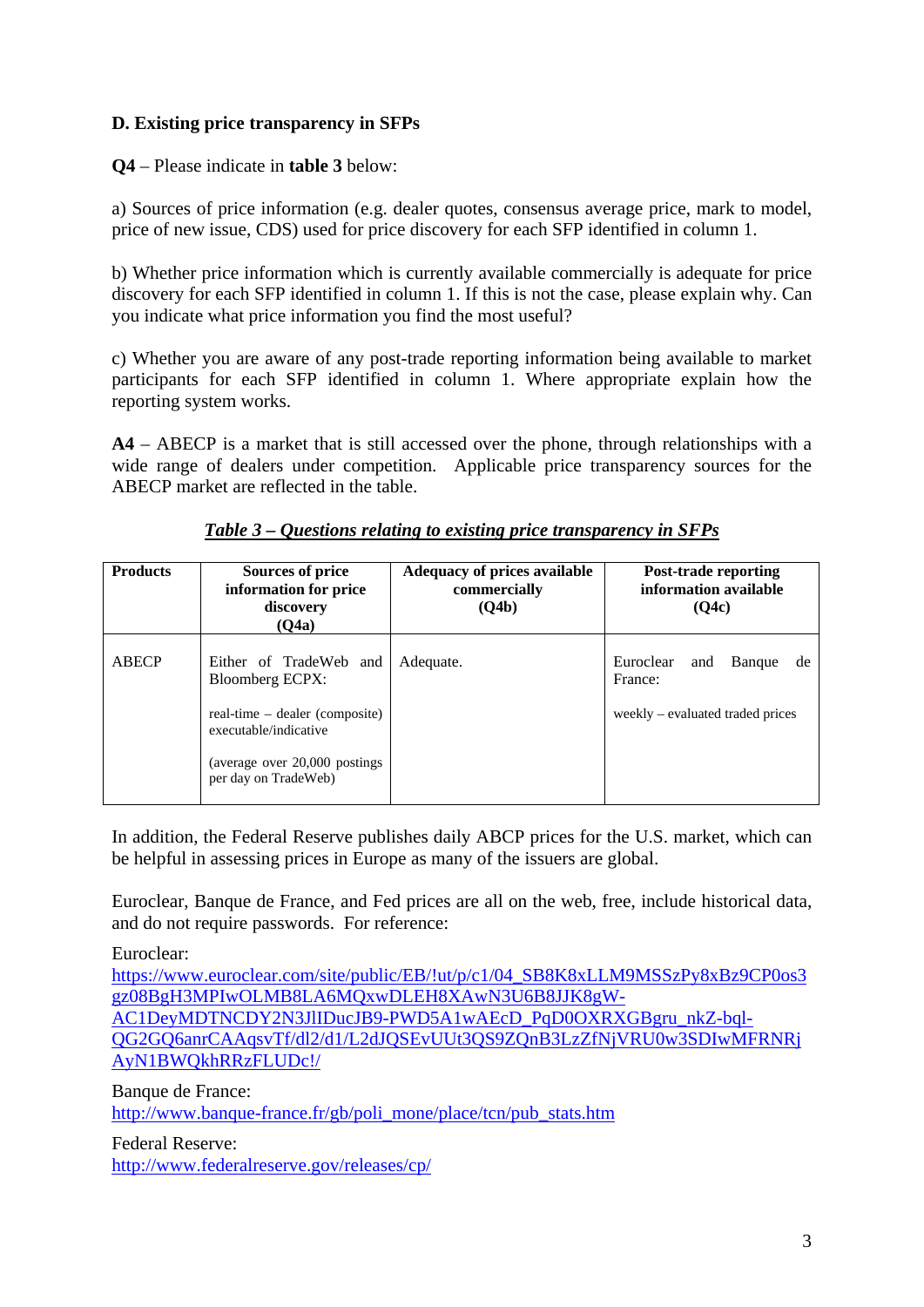# **D. Existing price transparency in SFPs**

**Q4** – Please indicate in **table 3** below:

a) Sources of price information (e.g. dealer quotes, consensus average price, mark to model, price of new issue, CDS) used for price discovery for each SFP identified in column 1.

b) Whether price information which is currently available commercially is adequate for price discovery for each SFP identified in column 1. If this is not the case, please explain why. Can you indicate what price information you find the most useful?

c) Whether you are aware of any post-trade reporting information being available to market participants for each SFP identified in column 1. Where appropriate explain how the reporting system works.

**A4** – ABECP is a market that is still accessed over the phone, through relationships with a wide range of dealers under competition. Applicable price transparency sources for the ABECP market are reflected in the table.

| <b>Products</b> | Sources of price<br>information for price<br>discovery<br>(Q4a) | Adequacy of prices available<br>commercially<br>(Q4b) | <b>Post-trade reporting</b><br>information available<br>(O4c) |  |
|-----------------|-----------------------------------------------------------------|-------------------------------------------------------|---------------------------------------------------------------|--|
| <b>ABECP</b>    | Either of TradeWeb and<br><b>Bloomberg ECPX:</b>                | Adequate.                                             | Euroclear<br>Banque<br>and<br>de<br>France:                   |  |
|                 | real-time – dealer (composite)<br>executable/indicative         |                                                       | weekly – evaluated traded prices                              |  |
|                 | (average over 20,000 postings)<br>per day on TradeWeb)          |                                                       |                                                               |  |

*Table 3 – Questions relating to existing price transparency in SFPs*

In addition, the Federal Reserve publishes daily ABCP prices for the U.S. market, which can be helpful in assessing prices in Europe as many of the issuers are global.

Euroclear, Banque de France, and Fed prices are all on the web, free, include historical data, and do not require passwords. For reference:

Euroclear:

https://www.euroclear.com/site/public/EB/!ut/p/c1/04\_SB8K8xLLM9MSSzPy8xBz9CP0os3 gz08BgH3MPIwOLMB8LA6MQxwDLEH8XAwN3U6B8JJK8gW-AC1DeyMDTNCDY2N3JlIDucJB9-PWD5A1wAEcD\_PqD0OXRXGBgru\_nkZ-bql-QG2GQ6anrCAAqsvTf/dl2/d1/L2dJQSEvUUt3QS9ZQnB3LzZfNjVRU0w3SDIwMFRNRj AyN1BWQkhRRzFLUDc!/

Banque de France: http://www.banque-france.fr/gb/poli\_mone/place/tcn/pub\_stats.htm

Federal Reserve: http://www.federalreserve.gov/releases/cp/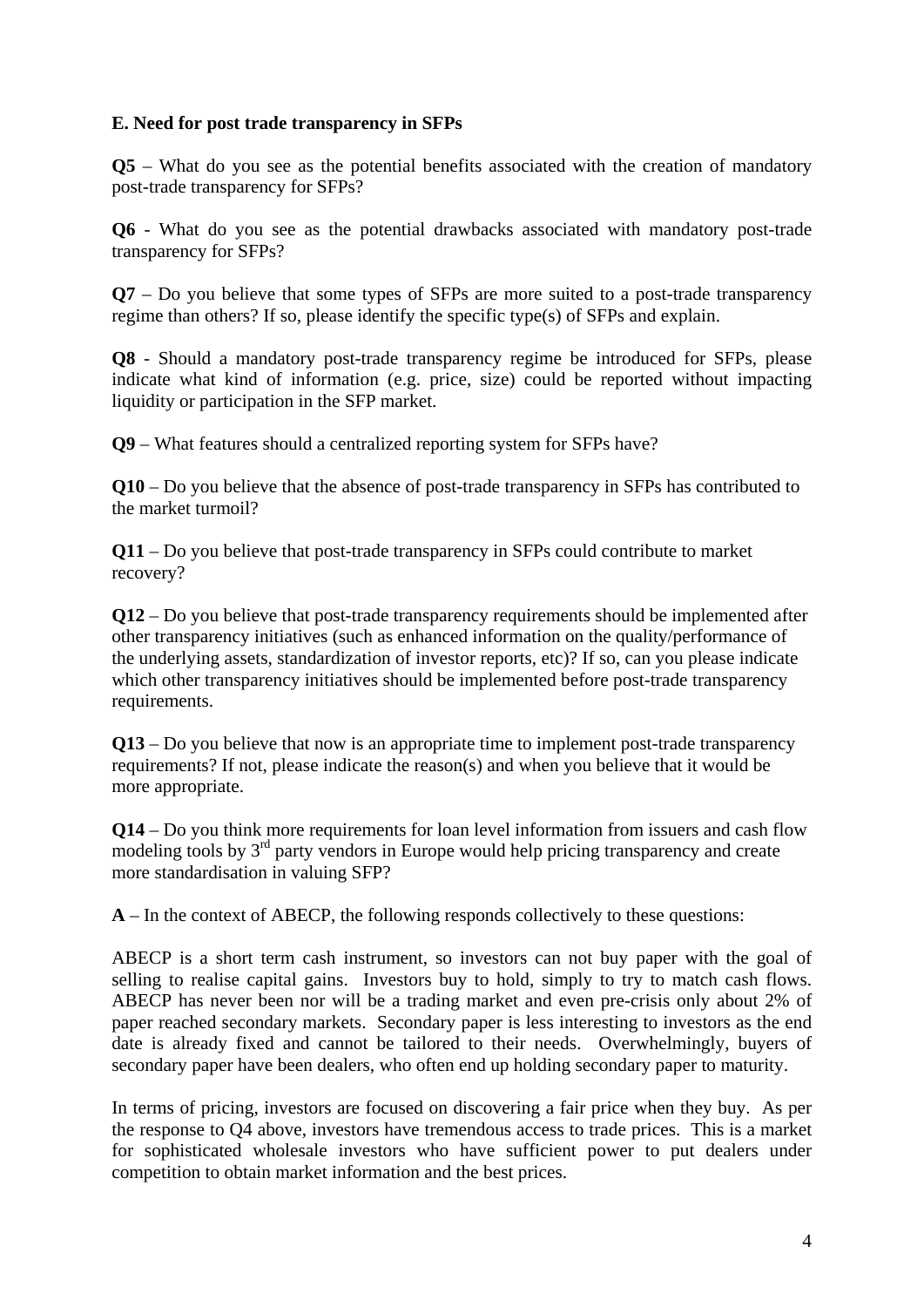## **E. Need for post trade transparency in SFPs**

**Q5** – What do you see as the potential benefits associated with the creation of mandatory post-trade transparency for SFPs?

**Q6** - What do you see as the potential drawbacks associated with mandatory post-trade transparency for SFPs?

**Q7** – Do you believe that some types of SFPs are more suited to a post-trade transparency regime than others? If so, please identify the specific type(s) of SFPs and explain.

**Q8** - Should a mandatory post-trade transparency regime be introduced for SFPs, please indicate what kind of information (e.g. price, size) could be reported without impacting liquidity or participation in the SFP market.

**Q9** – What features should a centralized reporting system for SFPs have?

**Q10** – Do you believe that the absence of post-trade transparency in SFPs has contributed to the market turmoil?

**Q11** – Do you believe that post-trade transparency in SFPs could contribute to market recovery?

**Q12** – Do you believe that post-trade transparency requirements should be implemented after other transparency initiatives (such as enhanced information on the quality/performance of the underlying assets, standardization of investor reports, etc)? If so, can you please indicate which other transparency initiatives should be implemented before post-trade transparency requirements.

**Q13** – Do you believe that now is an appropriate time to implement post-trade transparency requirements? If not, please indicate the reason(s) and when you believe that it would be more appropriate.

**Q14** – Do you think more requirements for loan level information from issuers and cash flow modeling tools by  $3<sup>rd</sup>$  party vendors in Europe would help pricing transparency and create more standardisation in valuing SFP?

**A** – In the context of ABECP, the following responds collectively to these questions:

ABECP is a short term cash instrument, so investors can not buy paper with the goal of selling to realise capital gains. Investors buy to hold, simply to try to match cash flows. ABECP has never been nor will be a trading market and even pre-crisis only about 2% of paper reached secondary markets. Secondary paper is less interesting to investors as the end date is already fixed and cannot be tailored to their needs. Overwhelmingly, buyers of secondary paper have been dealers, who often end up holding secondary paper to maturity.

In terms of pricing, investors are focused on discovering a fair price when they buy. As per the response to Q4 above, investors have tremendous access to trade prices. This is a market for sophisticated wholesale investors who have sufficient power to put dealers under competition to obtain market information and the best prices.